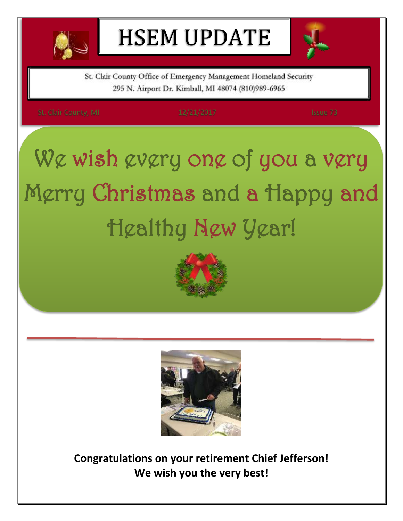

# HSEM UPDATE



St. Clair County Office of Emergency Management Homeland Security 295 N. Airport Dr. Kimball, MI 48074 (810)989-6965

# We wish every one of you a very Merry Christmas and a Happy and Healthy New Year!





**Congratulations on your retirement Chief Jefferson! We wish you the very best!**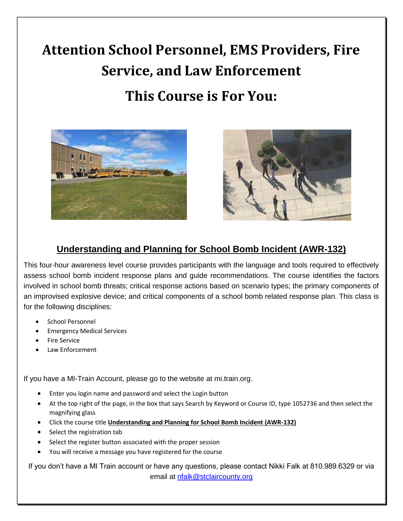## **Attention School Personnel, EMS Providers, Fire Service, and Law Enforcement**

### **This Course is For You:**





### **Understanding and Planning for School Bomb Incident (AWR-132)**

This four-hour awareness level course provides participants with the language and tools required to effectively assess school bomb incident response plans and guide recommendations. The course identifies the factors involved in school bomb threats; critical response actions based on scenario types; the primary components of an improvised explosive device; and critical components of a school bomb related response plan. This class is for the following disciplines:

- School Personnel
- Emergency Medical Services
- Fire Service
- Law Enforcement

If you have a MI-Train Account, please go to the website at mi.train.org.

- Enter you login name and password and select the Login button
- At the top right of the page, in the box that says Search by Keyword or Course ID, type 1052736 and then select the magnifying glass
- Click the course title **Understanding and Planning for School Bomb Incident (AWR-132)**
- Select the registration tab
- Select the register button associated with the proper session
- You will receive a message you have registered for the course

If you don't have a MI Train account or have any questions, please contact Nikki Falk at 810.989.6329 or via email at [nfalk@stclaircounty.org](mailto:nfalk@stclaircounty.org)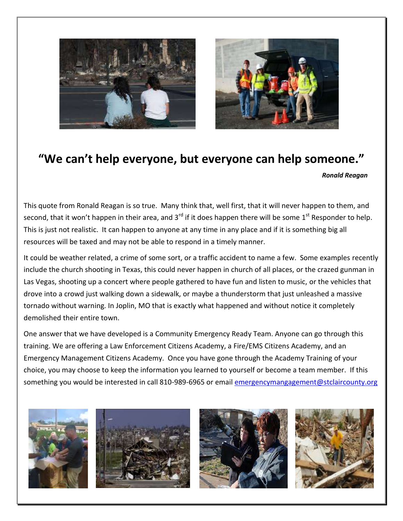



### **"We can't help everyone, but everyone can help someone."**

*Ronald Reagan*

This quote from Ronald Reagan is so true. Many think that, well first, that it will never happen to them, and second, that it won't happen in their area, and 3<sup>rd</sup> if it does happen there will be some 1<sup>st</sup> Responder to help. This is just not realistic. It can happen to anyone at any time in any place and if it is something big all resources will be taxed and may not be able to respond in a timely manner.

It could be weather related, a crime of some sort, or a traffic accident to name a few. Some examples recently include the church shooting in Texas, this could never happen in church of all places, or the crazed gunman in Las Vegas, shooting up a concert where people gathered to have fun and listen to music, or the vehicles that drove into a crowd just walking down a sidewalk, or maybe a thunderstorm that just unleashed a massive tornado without warning. In Joplin, MO that is exactly what happened and without notice it completely demolished their entire town.

One answer that we have developed is a Community Emergency Ready Team. Anyone can go through this training. We are offering a Law Enforcement Citizens Academy, a Fire/EMS Citizens Academy, and an Emergency Management Citizens Academy. Once you have gone through the Academy Training of your choice, you may choose to keep the information you learned to yourself or become a team member. If this something you would be interested in call 810-989-6965 or email [emergencymangagement@stclaircounty.org](mailto:emergencymangagement@stclaircounty.org)







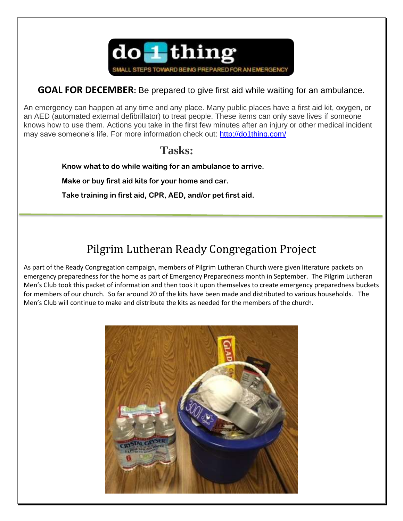

#### **GOAL FOR DECEMBER:** Be prepared to give first aid while waiting for an ambulance.

An emergency can happen at any time and any place. Many public places have a first aid kit, oxygen, or an AED (automated external defibrillator) to treat people. These items can only save lives if someone knows how to use them. Actions you take in the first few minutes after an injury or other medical incident may save someone's life. For more information check out:<http://do1thing.com/>

### **Tasks:**

 **Know what to do while waiting for an ambulance to arrive.**

 **Make or buy first aid kits for your home and car.**

 **Take training in first aid, CPR, AED, and/or pet first aid.**

### Pilgrim Lutheran Ready Congregation Project

As part of the Ready Congregation campaign, members of Pilgrim Lutheran Church were given literature packets on emergency preparedness for the home as part of Emergency Preparedness month in September. The Pilgrim Lutheran Men's Club took this packet of information and then took it upon themselves to create emergency preparedness buckets for members of our church. So far around 20 of the kits have been made and distributed to various households. The Men's Club will continue to make and distribute the kits as needed for the members of the church.

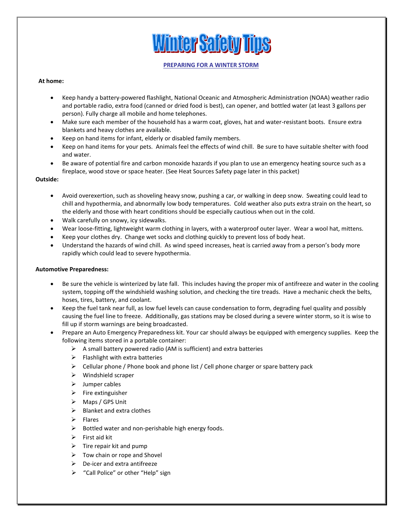# **Winter Safety Tips**

#### **PREPARING FOR A WINTER STORM**

#### **At home:**

- Keep handy a battery-powered flashlight, National Oceanic and Atmospheric Administration (NOAA) weather radio and portable radio, extra food (canned or dried food is best), can opener, and bottled water (at least 3 gallons per person). Fully charge all mobile and home telephones.
- Make sure each member of the household has a warm coat, gloves, hat and water-resistant boots. Ensure extra blankets and heavy clothes are available.
- Keep on hand items for infant, elderly or disabled family members.
- Keep on hand items for your pets. Animals feel the effects of wind chill. Be sure to have suitable shelter with food and water.
- Be aware of potential fire and carbon monoxide hazards if you plan to use an emergency heating source such as a fireplace, wood stove or space heater. (See Heat Sources Safety page later in this packet)

#### **Outside:**

- Avoid overexertion, such as shoveling heavy snow, pushing a car, or walking in deep snow. Sweating could lead to chill and hypothermia, and abnormally low body temperatures. Cold weather also puts extra strain on the heart, so the elderly and those with heart conditions should be especially cautious when out in the cold.
- Walk carefully on snowy, icy sidewalks.
- Wear loose-fitting, lightweight warm clothing in layers, with a waterproof outer layer. Wear a wool hat, mittens.
- Keep your clothes dry. Change wet socks and clothing quickly to prevent loss of body heat.
- Understand the hazards of wind chill. As wind speed increases, heat is carried away from a person's body more rapidly which could lead to severe hypothermia.

#### **Automotive Preparedness:**

- Be sure the vehicle is winterized by late fall. This includes having the proper mix of antifreeze and water in the cooling system, topping off the windshield washing solution, and checking the tire treads. Have a mechanic check the belts, hoses, tires, battery, and coolant.
- Keep the fuel tank near full, as low fuel levels can cause condensation to form, degrading fuel quality and possibly causing the fuel line to freeze. Additionally, gas stations may be closed during a severe winter storm, so it is wise to fill up if storm warnings are being broadcasted.
- Prepare an Auto Emergency Preparedness kit. Your car should always be equipped with emergency supplies. Keep the following items stored in a portable container:
	- $\triangleright$  A small battery powered radio (AM is sufficient) and extra batteries
	- $\triangleright$  Flashlight with extra batteries
	- $\triangleright$  Cellular phone / Phone book and phone list / Cell phone charger or spare battery pack
	- $\triangleright$  Windshield scraper
	- $\blacktriangleright$  Jumper cables
	- $\triangleright$  Fire extinguisher
	- Maps / GPS Unit
	- $\triangleright$  Blanket and extra clothes
	- $\triangleright$  Flares
	- $\triangleright$  Bottled water and non-perishable high energy foods.
	- $\triangleright$  First aid kit
	- $\triangleright$  Tire repair kit and pump
	- $\triangleright$  Tow chain or rope and Shovel
	- $\triangleright$  De-icer and extra antifreeze
	- > "Call Police" or other "Help" sign